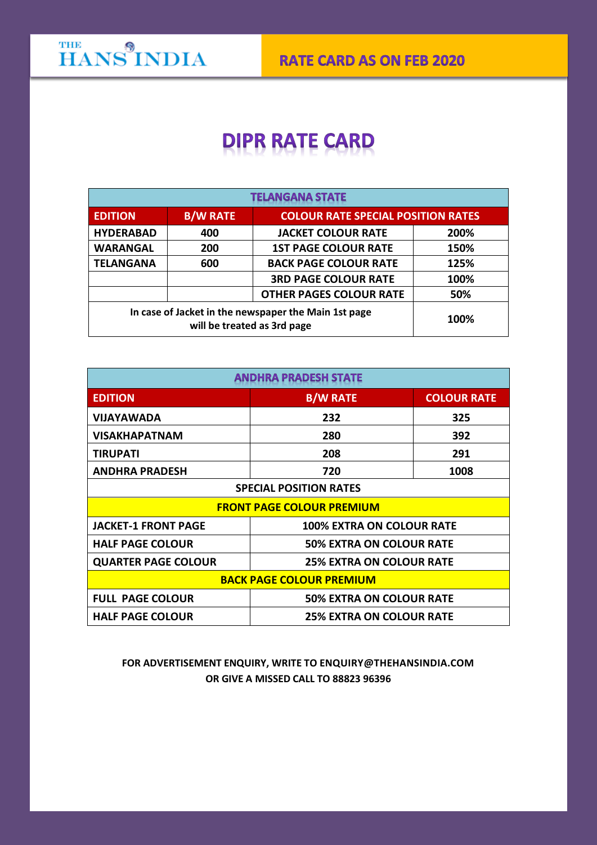## **DIPR RATE CARD**

| <b>TELANGANA STATE</b>                                                              |                 |                                           |      |  |
|-------------------------------------------------------------------------------------|-----------------|-------------------------------------------|------|--|
| <b>EDITION</b>                                                                      | <b>B/W RATE</b> | <b>COLOUR RATE SPECIAL POSITION RATES</b> |      |  |
| <b>HYDERABAD</b>                                                                    | 400             | <b>JACKET COLOUR RATE</b>                 | 200% |  |
| <b>WARANGAL</b>                                                                     | 200             | <b>1ST PAGE COLOUR RATE</b>               | 150% |  |
| <b>TELANGANA</b>                                                                    | 600             | <b>BACK PAGE COLOUR RATE</b>              | 125% |  |
|                                                                                     |                 | <b>3RD PAGE COLOUR RATE</b>               | 100% |  |
|                                                                                     |                 | <b>OTHER PAGES COLOUR RATE</b>            | 50%  |  |
| In case of Jacket in the newspaper the Main 1st page<br>will be treated as 3rd page |                 |                                           | 100% |  |

| <b>ANDHRA PRADESH STATE</b>                                |                                  |                    |  |  |
|------------------------------------------------------------|----------------------------------|--------------------|--|--|
| <b>EDITION</b>                                             | <b>B/W RATE</b>                  | <b>COLOUR RATE</b> |  |  |
| <b>VIJAYAWADA</b>                                          | 232                              | 325                |  |  |
| <b>VISAKHAPATNAM</b>                                       | 280                              | 392                |  |  |
| <b>TIRUPATI</b>                                            | 208                              | 291                |  |  |
| <b>ANDHRA PRADESH</b>                                      | 720                              | 1008               |  |  |
| <b>SPECIAL POSITION RATES</b>                              |                                  |                    |  |  |
| <b>FRONT PAGE COLOUR PREMIUM</b>                           |                                  |                    |  |  |
| <b>JACKET-1 FRONT PAGE</b>                                 | <b>100% EXTRA ON COLOUR RATE</b> |                    |  |  |
| <b>HALF PAGE COLOUR</b>                                    | <b>50% EXTRA ON COLOUR RATE</b>  |                    |  |  |
| <b>QUARTER PAGE COLOUR</b>                                 | <b>25% EXTRA ON COLOUR RATE</b>  |                    |  |  |
| <b>BACK PAGE COLOUR PREMIUM</b>                            |                                  |                    |  |  |
| <b>FULL PAGE COLOUR</b><br><b>50% EXTRA ON COLOUR RATE</b> |                                  |                    |  |  |
| <b>HALF PAGE COLOUR</b>                                    | <b>25% EXTRA ON COLOUR RATE</b>  |                    |  |  |

## **FOR ADVERTISEMENT ENQUIRY, WRITE TO [ENQUIRY@THEHANSINDIA.COM](mailto:ENQUIRY@THEHANSINDIA.COM) OR GIVE A MISSED CALL TO 88823 96396**